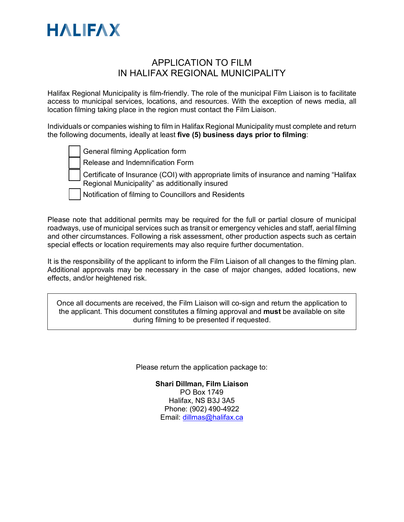

## APPLICATION TO FILM IN HALIFAX REGIONAL MUNICIPALITY

Halifax Regional Municipality is film-friendly. The role of the municipal Film Liaison is to facilitate access to municipal services, locations, and resources. With the exception of news media, all location filming taking place in the region must contact the Film Liaison.

Individuals or companies wishing to film in Halifax Regional Municipality must complete and return the following documents, ideally at least **five (5) business days prior to filming**:

|  |  |  | General filming Application form |  |
|--|--|--|----------------------------------|--|
|--|--|--|----------------------------------|--|

Release and Indemnification Form



Notification of filming to Councillors and Residents

Please note that additional permits may be required for the full or partial closure of municipal roadways, use of municipal services such as transit or emergency vehicles and staff, aerial filming and other circumstances. Following a risk assessment, other production aspects such as certain special effects or location requirements may also require further documentation.

It is the responsibility of the applicant to inform the Film Liaison of all changes to the filming plan. Additional approvals may be necessary in the case of major changes, added locations, new effects, and/or heightened risk.

Once all documents are received, the Film Liaison will co-sign and return the application to the applicant. This document constitutes a filming approval and **must** be available on site during filming to be presented if requested.

Please return the application package to:

**Shari Dillman, Film Liaison** PO Box 1749 Halifax, NS B3J 3A5 Phone: (902) 490-4922 Email: [dillmas@halifax.ca](mailto:dillmas@halifax.ca)